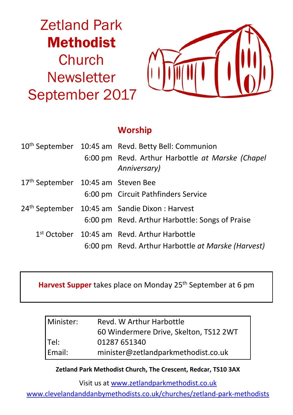# Zetland Park Methodist **Church Newsletter** September 2017



## **Worship**

|                                    | 10 <sup>th</sup> September 10:45 am Revd. Betty Bell: Communion  |
|------------------------------------|------------------------------------------------------------------|
|                                    | 6:00 pm Revd. Arthur Harbottle at Marske (Chapel<br>Anniversary) |
| 17th September 10:45 am Steven Bee |                                                                  |
|                                    | 6:00 pm Circuit Pathfinders Service                              |
|                                    | 24 <sup>th</sup> September 10:45 am Sandie Dixon : Harvest       |
|                                    | 6:00 pm Revd. Arthur Harbottle: Songs of Praise                  |
|                                    | 1st October 10:45 am Revd. Arthur Harbottle                      |
|                                    | 6:00 pm Revd. Arthur Harbottle at Marske (Harvest)               |

**Harvest Supper** takes place on Monday 25<sup>th</sup> September at 6 pm

| Minister: | Revd. W Arthur Harbottle               |  |  |
|-----------|----------------------------------------|--|--|
|           | 60 Windermere Drive, Skelton, TS12 2WT |  |  |
| Tel:      | 01287 651340                           |  |  |
| Email:    | minister@zetlandparkmethodist.co.uk    |  |  |

**Zetland Park Methodist Church, The Crescent, Redcar, TS10 3AX**

Visit us at www.zetlandparkmethodist.co.uk

www.clevelandanddanbymethodists.co.uk/churches/zetland-park-methodists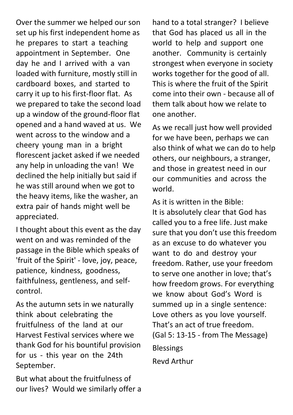Over the summer we helped our son set up his first independent home as he prepares to start a teaching appointment in September. One day he and I arrived with a van loaded with furniture, mostly still in cardboard boxes, and started to carry it up to his first-floor flat. As we prepared to take the second load up a window of the ground-floor flat opened and a hand waved at us. We went across to the window and a cheery young man in a bright florescent jacket asked if we needed any help in unloading the van! We declined the help initially but said if he was still around when we got to the heavy items, like the washer, an extra pair of hands might well be appreciated.

I thought about this event as the day went on and was reminded of the passage in the Bible which speaks of 'fruit of the Spirit' - love, joy, peace, patience, kindness, goodness, faithfulness, gentleness, and selfcontrol.

As the autumn sets in we naturally think about celebrating the fruitfulness of the land at our Harvest Festival services where we thank God for his bountiful provision for us - this year on the 24th September.

But what about the fruitfulness of our lives? Would we similarly offer a hand to a total stranger? I believe that God has placed us all in the world to help and support one another. Community is certainly strongest when everyone in society works together for the good of all. This is where the fruit of the Spirit come into their own - because all of them talk about how we relate to one another.

As we recall just how well provided for we have been, perhaps we can also think of what we can do to help others, our neighbours, a stranger, and those in greatest need in our our communities and across the world.

As it is written in the Bible: It is absolutely clear that God has called you to a free life. Just make sure that you don't use this freedom as an excuse to do whatever you want to do and destroy your freedom. Rather, use your freedom to serve one another in love; that's how freedom grows. For everything we know about God's Word is summed up in a single sentence: Love others as you love yourself. That's an act of true freedom. (Gal 5: 13-15 - from The Message) Blessings Revd Arthur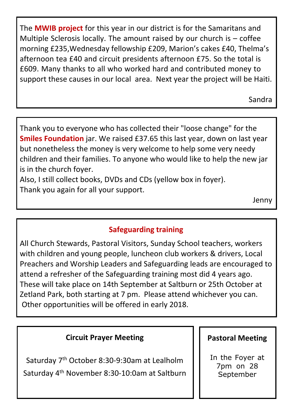The **MWIB project** for this year in our district is for the Samaritans and Multiple Sclerosis locally. The amount raised by our church is – coffee morning £235,Wednesday fellowship £209, Marion's cakes £40, Thelma's afternoon tea £40 and circuit presidents afternoon £75. So the total is £609. Many thanks to all who worked hard and contributed money to support these causes in our local area. Next year the project will be Haiti.

Sandra

Thank you to everyone who has collected their "loose change" for the **Smiles Foundation** jar. We raised £37.65 this last year, down on last year but nonetheless the money is very welcome to help some very needy children and their families. To anyone who would like to help the new jar is in the church foyer.

Also, I still collect books, DVDs and CDs (yellow box in foyer). Thank you again for all your support.

Jenny

## **Safeguarding training**

All Church Stewards, Pastoral Visitors, Sunday School teachers, workers with children and young people, luncheon club workers & drivers, Local Preachers and Worship Leaders and Safeguarding leads are encouraged to attend a refresher of the Safeguarding training most did 4 years ago. These will take place on 14th September at Saltburn or 25th October at Zetland Park, both starting at 7 pm. Please attend whichever you can. Other opportunities will be offered in early 2018.

#### **Circuit Prayer Meeting**

Saturday 7th October 8:30-9:30am at Lealholm Saturday 4th November 8:30-10:0am at Saltburn

#### **Pastoral Meeting**

In the Foyer at 7pm on 28 **September**